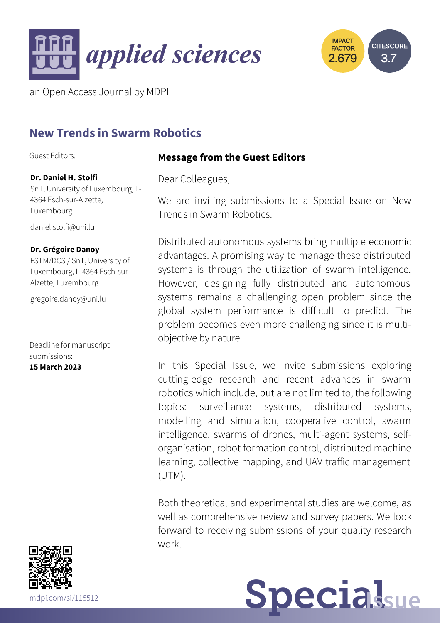



an Open Access Journal by MDPI

# **New Trends in Swarm Robotics**

Guest Editors:

### **Dr. Daniel H. Stolfi**

SnT, University of Luxembourg, L-4364 Esch-sur-Alzette, Luxembourg

[daniel.stolfi@uni.lu](mailto:daniel.stolfi@uni.lu)

#### **Dr. Grégoire Danoy**

FSTM/DCS / SnT, University of Luxembourg, L-4364 Esch-sur-Alzette, Luxembourg

[gregoire.danoy@uni.lu](mailto:gregoire.danoy@uni.lu)

Deadline for manuscript submissions: **15 March 2023**



**Message from the Guest Editors**

Dear Colleagues,

We are inviting submissions to a Special Issue on New Trends in Swarm Robotics.

Distributed autonomous systems bring multiple economic advantages. A promising way to manage these distributed systems is through the utilization of swarm intelligence. However, designing fully distributed and autonomous systems remains a challenging open problem since the global system performance is difficult to predict. The problem becomes even more challenging since it is multiobjective by nature.

In this Special Issue, we invite submissions exploring cutting-edge research and recent advances in swarm robotics which include, but are not limited to, the following topics: surveillance systems, distributed systems, modelling and simulation, cooperative control, swarm intelligence, swarms of drones, multi-agent systems, selforganisation, robot formation control, distributed machine learning, collective mapping, and UAV traffic management (UTM).

Both theoretical and experimental studies are welcome, as well as comprehensive review and survey papers. We look forward to receiving submissions of your quality research work.